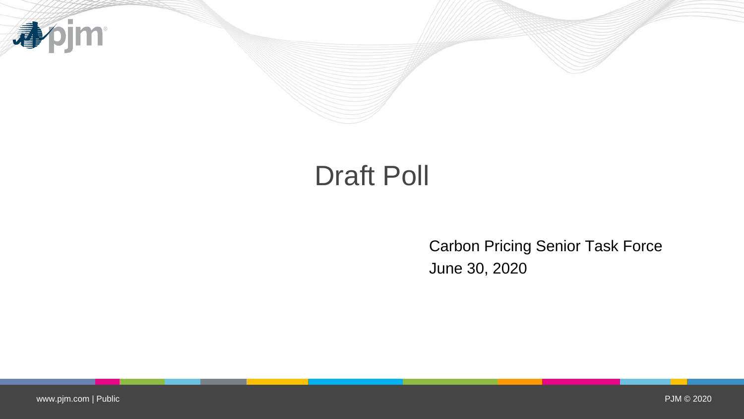

# Draft Poll

Carbon Pricing Senior Task Force June 30, 2020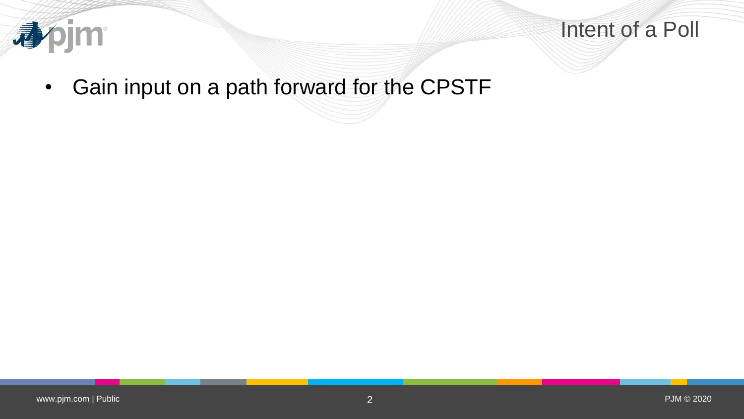

#### Intent of a Poll

• Gain input on a path forward for the CPSTF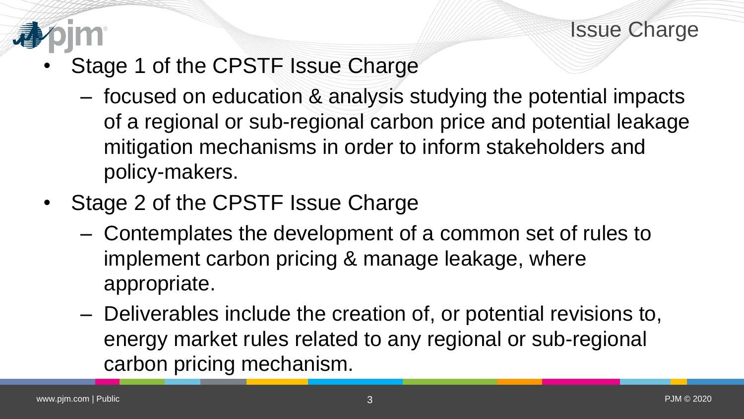

- Stage 1 of the CPSTF Issue Charge
	- focused on education & analysis studying the potential impacts of a regional or sub-regional carbon price and potential leakage mitigation mechanisms in order to inform stakeholders and policy-makers.
- Stage 2 of the CPSTF Issue Charge
	- Contemplates the development of a common set of rules to implement carbon pricing & manage leakage, where appropriate.
	- Deliverables include the creation of, or potential revisions to, energy market rules related to any regional or sub-regional carbon pricing mechanism.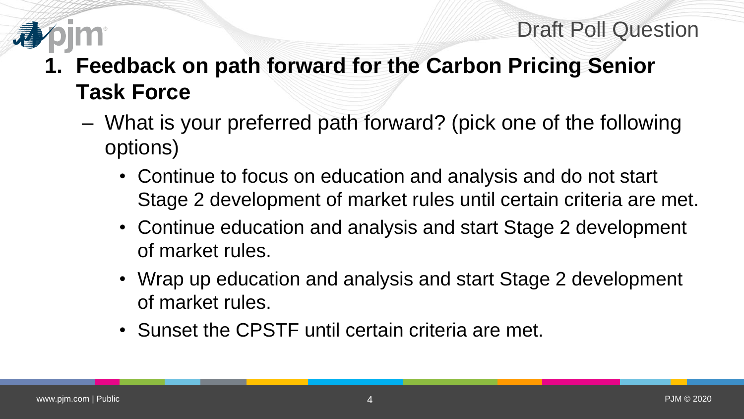# **1. Feedback on path forward for the Carbon Pricing Senior Task Force**

- What is your preferred path forward? (pick one of the following options)
	- Continue to focus on education and analysis and do not start Stage 2 development of market rules until certain criteria are met.
	- Continue education and analysis and start Stage 2 development of market rules.
	- Wrap up education and analysis and start Stage 2 development of market rules.
	- Sunset the CPSTF until certain criteria are met.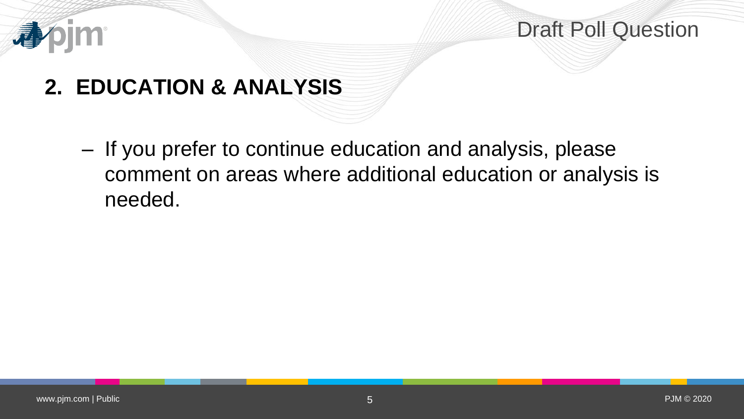

# **2. EDUCATION & ANALYSIS**

– If you prefer to continue education and analysis, please comment on areas where additional education or analysis is needed.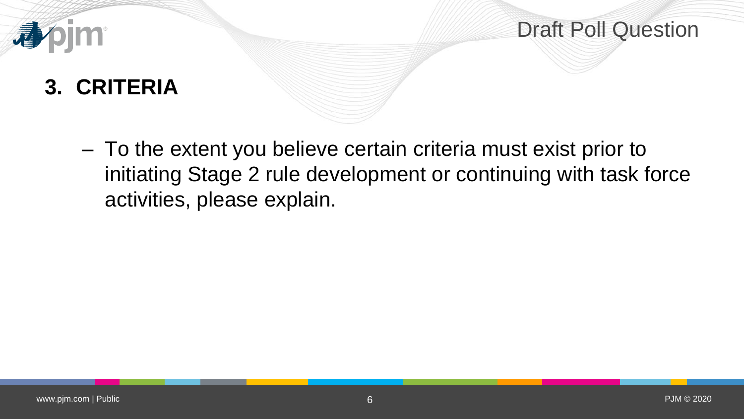# **3. CRITERIA**

– To the extent you believe certain criteria must exist prior to initiating Stage 2 rule development or continuing with task force activities, please explain.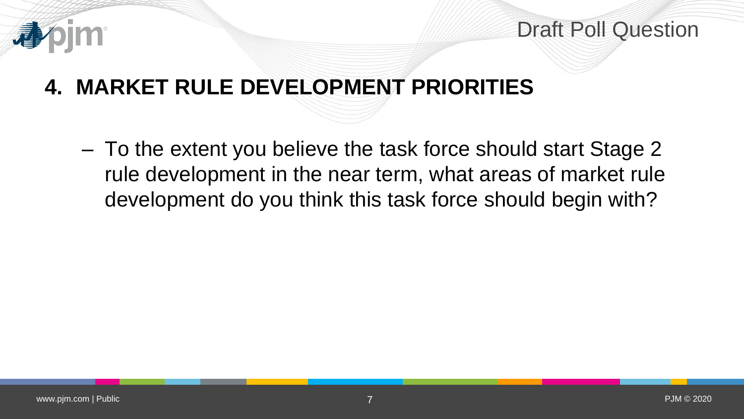

# **4. MARKET RULE DEVELOPMENT PRIORITIES**

– To the extent you believe the task force should start Stage 2 rule development in the near term, what areas of market rule development do you think this task force should begin with?